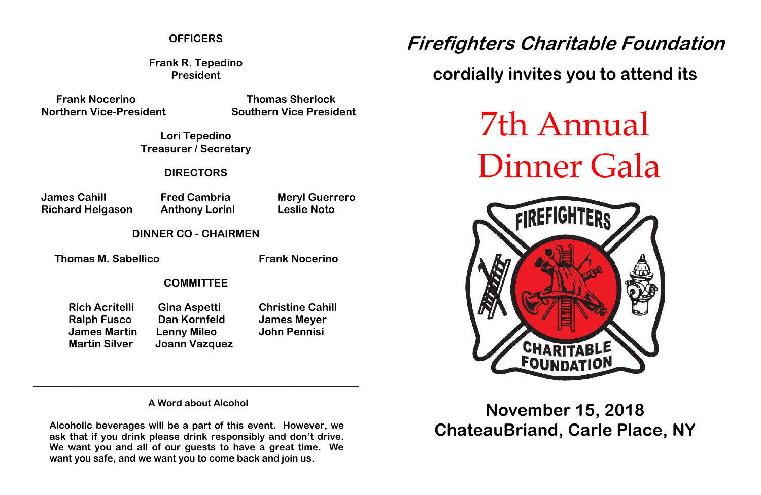#### **OFFICERS**

**Frank R. Tepedino President**

**Frank Nocerino Thomas Sherlock Northern Vice-President Southern Vice President**

**Lori Tepedino Treasurer / Secretary**

**DIRECTORS**

**James Cahill Fred Cambria Meryl Guerrero Richard Helgason Anthony Lorini Leslie Noto**

**DINNER CO - CHAIRMEN**

**Thomas M. Sabellico Frank Nocerino** 

#### **COMMITTEE**

**Rich Acritelli Gina Aspetti Christine Cahill Ralph Fusco Dan Kornfeld James Meyer James Martin Lenny Mileo John Pennisi Martin Silver Joann Vazquez**

**A Word about Alcohol**

**\_\_\_\_\_\_\_\_\_\_\_\_\_\_\_\_\_\_\_\_\_\_\_\_\_\_\_\_\_\_\_\_\_\_\_\_\_\_\_\_\_\_\_\_\_\_\_\_\_\_\_\_\_\_\_\_**

**Alcoholic beverages will be a part of this event. However, we ask that if you drink please drink responsibly and don't drive. We want you and all of our guests to have a great time. We want you safe, and we want you to come back and join us.**

# **Firefighters Charitable Foundation**

## **cordially invites you to attend its**

7th Annual Dinner Gala



**November 15, 2018 ChateauBriand, Carle Place, NY**